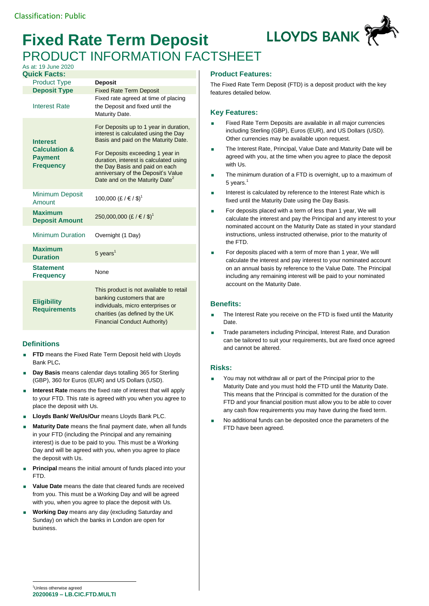# **Fixed Rate Term Deposit** PRODUCT INFORMATION FACTSHEET



#### As at: 19 June 2020 **Quick Facts:**

| ruiun i auto.                                                                     |                                                                                                                                                                                                                                                                                                                            |
|-----------------------------------------------------------------------------------|----------------------------------------------------------------------------------------------------------------------------------------------------------------------------------------------------------------------------------------------------------------------------------------------------------------------------|
| <b>Product Type</b>                                                               | <b>Deposit</b>                                                                                                                                                                                                                                                                                                             |
| <b>Deposit Type</b>                                                               | <b>Fixed Rate Term Deposit</b>                                                                                                                                                                                                                                                                                             |
| <b>Interest Rate</b>                                                              | Fixed rate agreed at time of placing<br>the Deposit and fixed until the<br>Maturity Date.                                                                                                                                                                                                                                  |
| <b>Interest</b><br><b>Calculation &amp;</b><br><b>Payment</b><br><b>Frequency</b> | For Deposits up to 1 year in duration,<br>interest is calculated using the Day<br>Basis and paid on the Maturity Date.<br>For Deposits exceeding 1 year in<br>duration, interest is calculated using<br>the Day Basis and paid on each<br>anniversary of the Deposit's Value<br>Date and on the Maturity Date <sup>2</sup> |
| <b>Minimum Deposit</b><br>Amount                                                  | 100,000 (£ / € / \$) <sup>1</sup>                                                                                                                                                                                                                                                                                          |
| <b>Maximum</b><br><b>Deposit Amount</b>                                           | 250,000,000 (£ / € / \$) <sup>1</sup>                                                                                                                                                                                                                                                                                      |
| <b>Minimum Duration</b>                                                           | Overnight (1 Day)                                                                                                                                                                                                                                                                                                          |
| <b>Maximum</b><br><b>Duration</b>                                                 | $5$ years <sup>1</sup>                                                                                                                                                                                                                                                                                                     |
| <b>Statement</b><br><b>Frequency</b>                                              | None                                                                                                                                                                                                                                                                                                                       |
| <b>Eligibility</b><br><b>Requirements</b>                                         | This product is not available to retail<br>banking customers that are<br>individuals, micro enterprises or<br>charities (as defined by the UK<br><b>Financial Conduct Authority)</b>                                                                                                                                       |

## **Definitions**

- **FTD** means the Fixed Rate Term Deposit held with Lloyds Bank PLC**.**
- **Day Basis** means calendar days totalling 365 for Sterling (GBP), 360 for Euros (EUR) and US Dollars (USD).
- **Interest Rate** means the fixed rate of interest that will apply to your FTD. This rate is agreed with you when you agree to place the deposit with Us.
- **Lloyds Bank/ We/Us/Our** means Lloyds Bank PLC.
- **Maturity Date** means the final payment date, when all funds in your FTD (including the Principal and any remaining interest) is due to be paid to you. This must be a Working Day and will be agreed with you, when you agree to place the deposit with Us.
- **Principal** means the initial amount of funds placed into your FTD.
- **Value Date** means the date that cleared funds are received from you. This must be a Working Day and will be agreed with you, when you agree to place the deposit with Us.
- **Working Day** means any day (excluding Saturday and Sunday) on which the banks in London are open for business.

## **Product Features:**

The Fixed Rate Term Deposit (FTD) is a deposit product with the key features detailed below.

## **Key Features:**

- Fixed Rate Term Deposits are available in all major currencies including Sterling (GBP), Euros (EUR), and US Dollars (USD). Other currencies may be available upon request.
- The Interest Rate, Principal, Value Date and Maturity Date will be agreed with you, at the time when you agree to place the deposit with I le
- The minimum duration of a FTD is overnight, up to a maximum of 5 years. $1$
- **Interest is calculated by reference to the Interest Rate which is** fixed until the Maturity Date using the Day Basis.
- For deposits placed with a term of less than 1 year. We will calculate the interest and pay the Principal and any interest to your nominated account on the Maturity Date as stated in your standard instructions, unless instructed otherwise, prior to the maturity of the FTD.
- For deposits placed with a term of more than 1 year, We will calculate the interest and pay interest to your nominated account on an annual basis by reference to the Value Date. The Principal including any remaining interest will be paid to your nominated account on the Maturity Date.

## **Benefits:**

- The Interest Rate you receive on the FTD is fixed until the Maturity Date.
- Trade parameters including Principal, Interest Rate, and Duration can be tailored to suit your requirements, but are fixed once agreed and cannot be altered.

### **Risks:**

- You may not withdraw all or part of the Principal prior to the Maturity Date and you must hold the FTD until the Maturity Date. This means that the Principal is committed for the duration of the FTD and your financial position must allow you to be able to cover any cash flow requirements you may have during the fixed term.
- No additional funds can be deposited once the parameters of the FTD have been agreed.